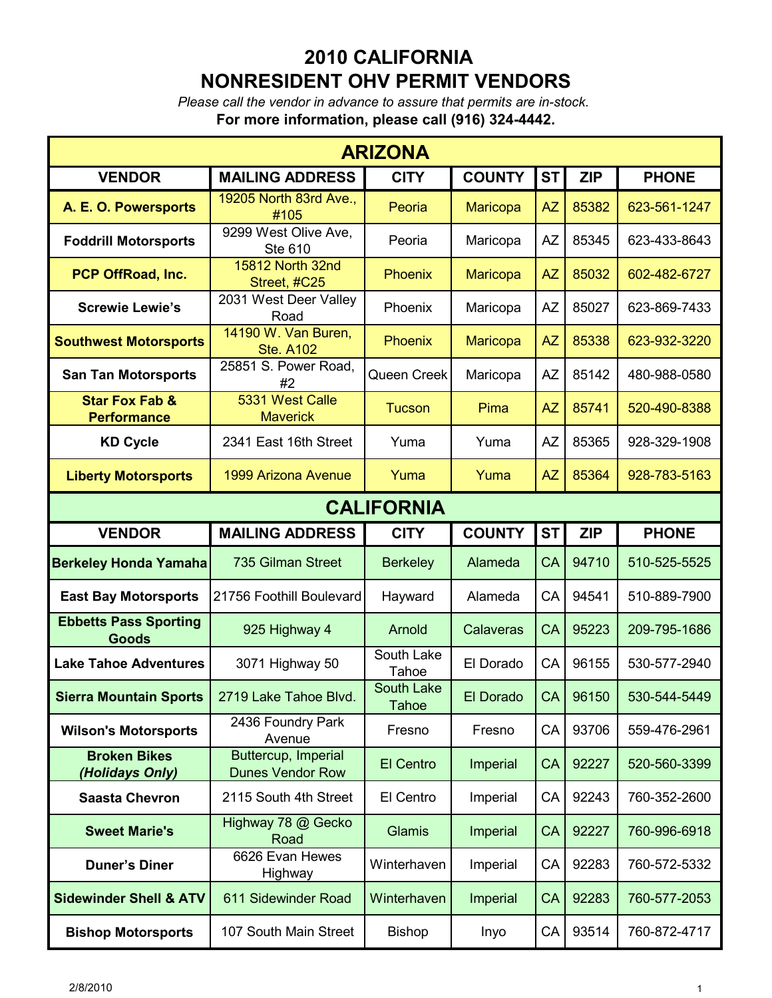*Please call the vendor in advance to assure that permits are in-stock.* **For more information, please call (916) 324-4442.**

| <b>ARIZONA</b>                                  |                                                |                            |                 |           |            |              |  |  |
|-------------------------------------------------|------------------------------------------------|----------------------------|-----------------|-----------|------------|--------------|--|--|
| <b>VENDOR</b>                                   | <b>MAILING ADDRESS</b>                         | <b>CITY</b>                | <b>COUNTY</b>   | <b>ST</b> | <b>ZIP</b> | <b>PHONE</b> |  |  |
| A. E. O. Powersports                            | 19205 North 83rd Ave.,<br>#105                 | Peoria                     | <b>Maricopa</b> | <b>AZ</b> | 85382      | 623-561-1247 |  |  |
| <b>Foddrill Motorsports</b>                     | 9299 West Olive Ave,<br>Ste 610                | Peoria                     | Maricopa        | <b>AZ</b> | 85345      | 623-433-8643 |  |  |
| PCP OffRoad, Inc.                               | 15812 North 32nd<br>Street, #C25               | <b>Phoenix</b>             | Maricopa        | <b>AZ</b> | 85032      | 602-482-6727 |  |  |
| <b>Screwie Lewie's</b>                          | 2031 West Deer Valley<br>Road                  | Phoenix                    | Maricopa        | <b>AZ</b> | 85027      | 623-869-7433 |  |  |
| <b>Southwest Motorsports</b>                    | 14190 W. Van Buren,<br><b>Ste. A102</b>        | <b>Phoenix</b>             | Maricopa        | <b>AZ</b> | 85338      | 623-932-3220 |  |  |
| <b>San Tan Motorsports</b>                      | 25851 S. Power Road,<br>#2                     | Queen Creek                | Maricopa        | <b>AZ</b> | 85142      | 480-988-0580 |  |  |
| <b>Star Fox Fab &amp;</b><br><b>Performance</b> | 5331 West Calle<br><b>Maverick</b>             | <b>Tucson</b>              | Pima            | <b>AZ</b> | 85741      | 520-490-8388 |  |  |
| <b>KD Cycle</b>                                 | 2341 East 16th Street                          | Yuma                       | Yuma            | <b>AZ</b> | 85365      | 928-329-1908 |  |  |
| <b>Liberty Motorsports</b>                      | 1999 Arizona Avenue                            | Yuma                       | Yuma            | <b>AZ</b> | 85364      | 928-783-5163 |  |  |
| <b>CALIFORNIA</b>                               |                                                |                            |                 |           |            |              |  |  |
| <b>VENDOR</b>                                   | <b>MAILING ADDRESS</b>                         | <b>CITY</b>                | <b>COUNTY</b>   | <b>ST</b> | <b>ZIP</b> | <b>PHONE</b> |  |  |
| <b>Berkeley Honda Yamaha</b>                    | 735 Gilman Street                              | <b>Berkeley</b>            | Alameda         | <b>CA</b> | 94710      | 510-525-5525 |  |  |
| <b>East Bay Motorsports</b>                     | 21756 Foothill Boulevard                       | Hayward                    | Alameda         | CA        | 94541      | 510-889-7900 |  |  |
| <b>Ebbetts Pass Sporting</b><br><b>Goods</b>    | 925 Highway 4                                  | Arnold                     | Calaveras       | CA        | 95223      | 209-795-1686 |  |  |
| <b>Lake Tahoe Adventures</b>                    | 3071 Highway 50                                | South Lake<br>Tahoe        | El Dorado       | CA        | 96155      | 530-577-2940 |  |  |
| <b>Sierra Mountain Sports</b>                   | 2719 Lake Tahoe Blvd.                          | South Lake<br><b>Tahoe</b> | El Dorado       | CA        | 96150      | 530-544-5449 |  |  |
| <b>Wilson's Motorsports</b>                     | 2436 Foundry Park<br>Avenue                    | Fresno                     | Fresno          | CA        | 93706      | 559-476-2961 |  |  |
| <b>Broken Bikes</b><br>(Holidays Only)          | Buttercup, Imperial<br><b>Dunes Vendor Row</b> | El Centro                  | Imperial        | CA        | 92227      | 520-560-3399 |  |  |
| <b>Saasta Chevron</b>                           | 2115 South 4th Street                          | El Centro                  | Imperial        | CA        | 92243      | 760-352-2600 |  |  |
| <b>Sweet Marie's</b>                            | Highway 78 @ Gecko<br>Road                     | Glamis                     | <b>Imperial</b> | CA        | 92227      | 760-996-6918 |  |  |
| <b>Duner's Diner</b>                            | 6626 Evan Hewes<br>Highway                     | Winterhaven                | Imperial        | CA        | 92283      | 760-572-5332 |  |  |
| <b>Sidewinder Shell &amp; ATV</b>               | 611 Sidewinder Road                            | Winterhaven                | Imperial        | CA        | 92283      | 760-577-2053 |  |  |
| <b>Bishop Motorsports</b>                       | 107 South Main Street                          | <b>Bishop</b>              | Inyo            | CA        | 93514      | 760-872-4717 |  |  |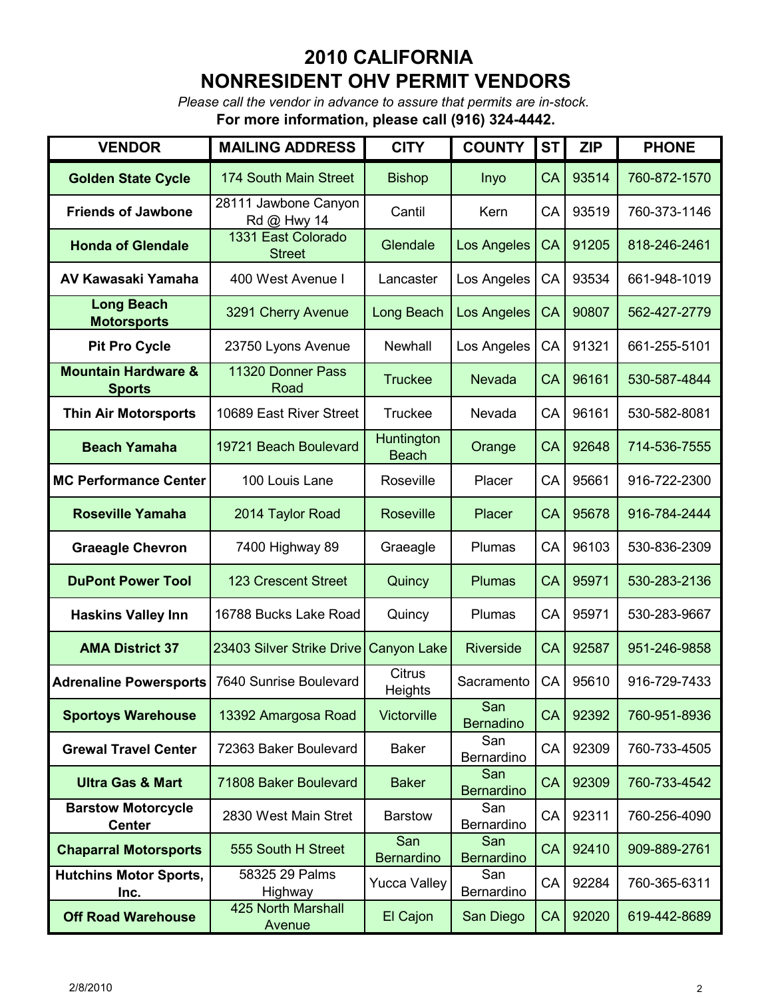*Please call the vendor in advance to assure that permits are in-stock.*

**For more information, please call (916) 324-4442.**

| <b>VENDOR</b>                                   | <b>MAILING ADDRESS</b>              | <b>CITY</b>                       | <b>COUNTY</b>            | <b>ST</b> | <b>ZIP</b> | <b>PHONE</b> |
|-------------------------------------------------|-------------------------------------|-----------------------------------|--------------------------|-----------|------------|--------------|
| <b>Golden State Cycle</b>                       | 174 South Main Street               | <b>Bishop</b>                     | Inyo                     | CA        | 93514      | 760-872-1570 |
| <b>Friends of Jawbone</b>                       | 28111 Jawbone Canyon<br>Rd @ Hwy 14 | Cantil                            | Kern                     | CA        | 93519      | 760-373-1146 |
| <b>Honda of Glendale</b>                        | 1331 East Colorado<br><b>Street</b> | Glendale                          | Los Angeles              | CA        | 91205      | 818-246-2461 |
| AV Kawasaki Yamaha                              | 400 West Avenue I                   | Lancaster                         | Los Angeles              | CA        | 93534      | 661-948-1019 |
| <b>Long Beach</b><br><b>Motorsports</b>         | 3291 Cherry Avenue                  | Long Beach                        | Los Angeles              | CA        | 90807      | 562-427-2779 |
| <b>Pit Pro Cycle</b>                            | 23750 Lyons Avenue                  | Newhall                           | Los Angeles              | CA        | 91321      | 661-255-5101 |
| <b>Mountain Hardware &amp;</b><br><b>Sports</b> | 11320 Donner Pass<br>Road           | <b>Truckee</b>                    | <b>Nevada</b>            | CA        | 96161      | 530-587-4844 |
| <b>Thin Air Motorsports</b>                     | 10689 East River Street             | <b>Truckee</b>                    | Nevada                   | CA        | 96161      | 530-582-8081 |
| <b>Beach Yamaha</b>                             | 19721 Beach Boulevard               | <b>Huntington</b><br><b>Beach</b> | Orange                   | CA        | 92648      | 714-536-7555 |
| <b>MC Performance Center</b>                    | 100 Louis Lane                      | Roseville                         | Placer                   | CA        | 95661      | 916-722-2300 |
| <b>Roseville Yamaha</b>                         | 2014 Taylor Road                    | <b>Roseville</b>                  | Placer                   | CA        | 95678      | 916-784-2444 |
| <b>Graeagle Chevron</b>                         | 7400 Highway 89                     | Graeagle                          | Plumas                   | CA        | 96103      | 530-836-2309 |
| <b>DuPont Power Tool</b>                        | <b>123 Crescent Street</b>          | Quincy                            | <b>Plumas</b>            | CA        | 95971      | 530-283-2136 |
| <b>Haskins Valley Inn</b>                       | 16788 Bucks Lake Road               | Quincy                            | Plumas                   | CA        | 95971      | 530-283-9667 |
| <b>AMA District 37</b>                          | 23403 Silver Strike Drive           | Canyon Lake                       | <b>Riverside</b>         | CA        | 92587      | 951-246-9858 |
| <b>Adrenaline Powersports</b>                   | 7640 Sunrise Boulevard              | <b>Citrus</b><br><b>Heights</b>   | Sacramento               | CA        | 95610      | 916-729-7433 |
| <b>Sportoys Warehouse</b>                       | 13392 Amargosa Road                 | Victorville                       | San<br><b>Bernadino</b>  | CA        | 92392      | 760-951-8936 |
| <b>Grewal Travel Center</b>                     | 72363 Baker Boulevard               | <b>Baker</b>                      | San<br>Bernardino        | CA        | 92309      | 760-733-4505 |
| <b>Ultra Gas &amp; Mart</b>                     | 71808 Baker Boulevard               | <b>Baker</b>                      | San<br><b>Bernardino</b> | CA        | 92309      | 760-733-4542 |
| <b>Barstow Motorcycle</b><br><b>Center</b>      | 2830 West Main Stret                | <b>Barstow</b>                    | San<br>Bernardino        | CA        | 92311      | 760-256-4090 |
| <b>Chaparral Motorsports</b>                    | 555 South H Street                  | San<br><b>Bernardino</b>          | San<br><b>Bernardino</b> | CA        | 92410      | 909-889-2761 |
| <b>Hutchins Motor Sports,</b><br>Inc.           | 58325 29 Palms<br>Highway           | <b>Yucca Valley</b>               | San<br>Bernardino        | CA        | 92284      | 760-365-6311 |
| <b>Off Road Warehouse</b>                       | 425 North Marshall<br>Avenue        | El Cajon                          | San Diego                | CA        | 92020      | 619-442-8689 |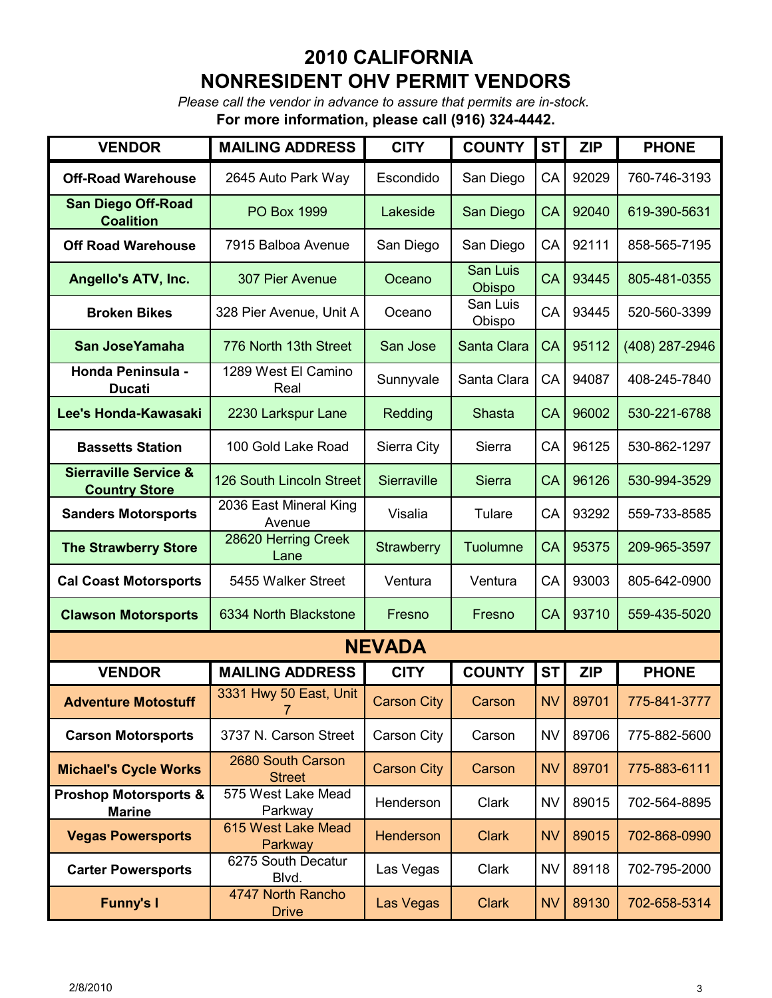*Please call the vendor in advance to assure that permits are in-stock.*

**For more information, please call (916) 324-4442.**

| <b>VENDOR</b>                                            | <b>MAILING ADDRESS</b>             | <b>CITY</b>        | <b>COUNTY</b>      | <b>ST</b> | <b>ZIP</b> | <b>PHONE</b>   |  |  |
|----------------------------------------------------------|------------------------------------|--------------------|--------------------|-----------|------------|----------------|--|--|
| <b>Off-Road Warehouse</b>                                | 2645 Auto Park Way                 | Escondido          | San Diego          | CA        | 92029      | 760-746-3193   |  |  |
| <b>San Diego Off-Road</b><br><b>Coalition</b>            | <b>PO Box 1999</b>                 | Lakeside           | San Diego          | CA        | 92040      | 619-390-5631   |  |  |
| <b>Off Road Warehouse</b>                                | 7915 Balboa Avenue                 | San Diego          | San Diego          | CA        | 92111      | 858-565-7195   |  |  |
| <b>Angello's ATV, Inc.</b>                               | 307 Pier Avenue                    | Oceano             | San Luis<br>Obispo | <b>CA</b> | 93445      | 805-481-0355   |  |  |
| <b>Broken Bikes</b>                                      | 328 Pier Avenue, Unit A            | Oceano             | San Luis<br>Obispo | CA        | 93445      | 520-560-3399   |  |  |
| San JoseYamaha                                           | 776 North 13th Street              | San Jose           | Santa Clara        | CA        | 95112      | (408) 287-2946 |  |  |
| <b>Honda Peninsula -</b><br><b>Ducati</b>                | 1289 West El Camino<br>Real        | Sunnyvale          | Santa Clara        | CA        | 94087      | 408-245-7840   |  |  |
| Lee's Honda-Kawasaki                                     | 2230 Larkspur Lane                 | Redding            | <b>Shasta</b>      | CA        | 96002      | 530-221-6788   |  |  |
| <b>Bassetts Station</b>                                  | 100 Gold Lake Road                 | Sierra City        | Sierra             | CA        | 96125      | 530-862-1297   |  |  |
| <b>Sierraville Service &amp;</b><br><b>Country Store</b> | 126 South Lincoln Street           | Sierraville        | <b>Sierra</b>      | CA        | 96126      | 530-994-3529   |  |  |
| <b>Sanders Motorsports</b>                               | 2036 East Mineral King<br>Avenue   | Visalia            | Tulare             | CA        | 93292      | 559-733-8585   |  |  |
| <b>The Strawberry Store</b>                              | 28620 Herring Creek<br>Lane        | Strawberry         | Tuolumne           | CA        | 95375      | 209-965-3597   |  |  |
| <b>Cal Coast Motorsports</b>                             | 5455 Walker Street                 | Ventura            | Ventura            | CA        | 93003      | 805-642-0900   |  |  |
| <b>Clawson Motorsports</b>                               | 6334 North Blackstone              | Fresno             | Fresno             | CA        | 93710      | 559-435-5020   |  |  |
| <b>NEVADA</b>                                            |                                    |                    |                    |           |            |                |  |  |
| <b>VENDOR</b>                                            | <b>MAILING ADDRESS</b>             | <b>CITY</b>        | <b>COUNTY</b>      | <b>ST</b> | <b>ZIP</b> | <b>PHONE</b>   |  |  |
| <b>Adventure Motostuff</b>                               | 3331 Hwy 50 East, Unit<br>7        | <b>Carson City</b> | Carson             | <b>NV</b> | 89701      | 775-841-3777   |  |  |
| <b>Carson Motorsports</b>                                | 3737 N. Carson Street              | Carson City        | Carson             | <b>NV</b> | 89706      | 775-882-5600   |  |  |
| <b>Michael's Cycle Works</b>                             | 2680 South Carson<br><b>Street</b> | <b>Carson City</b> | Carson             | <b>NV</b> | 89701      | 775-883-6111   |  |  |
| <b>Proshop Motorsports &amp;</b><br><b>Marine</b>        | 575 West Lake Mead<br>Parkway      | Henderson          | Clark              | NV        | 89015      | 702-564-8895   |  |  |
| <b>Vegas Powersports</b>                                 | 615 West Lake Mead<br>Parkway      | <b>Henderson</b>   | <b>Clark</b>       | <b>NV</b> | 89015      | 702-868-0990   |  |  |
| <b>Carter Powersports</b>                                | 6275 South Decatur<br>Blvd.        | Las Vegas          | Clark              | <b>NV</b> | 89118      | 702-795-2000   |  |  |
| <b>Funny's I</b>                                         | 4747 North Rancho<br><b>Drive</b>  | Las Vegas          | <b>Clark</b>       | <b>NV</b> | 89130      | 702-658-5314   |  |  |